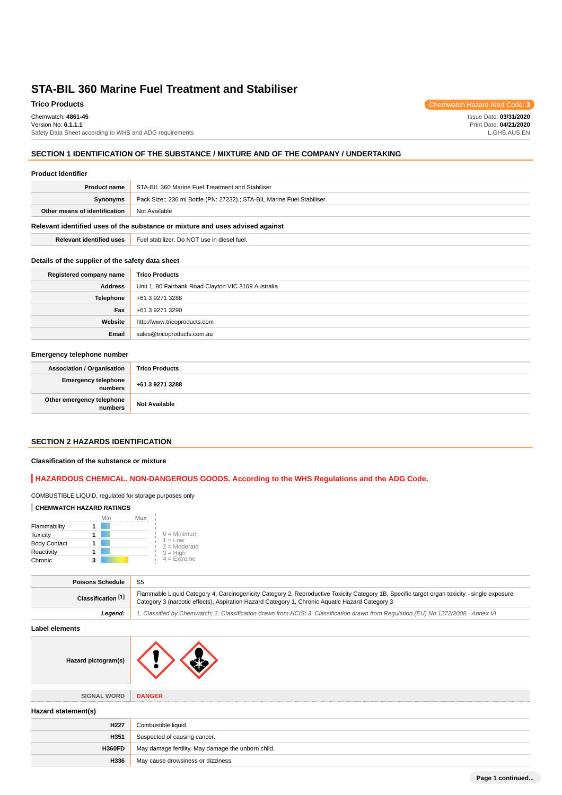## **Trico Products** Chemwatch Hazard Alert Code: **3**

Chemwatch: **4861-45** Version No: **6.1.1.1** Safety Data Sheet according to WHS and ADG requirements

### **SECTION 1 IDENTIFICATION OF THE SUBSTANCE / MIXTURE AND OF THE COMPANY / UNDERTAKING**

#### **Product Identifier**

| <b>Product name</b>                                                           | STA-BIL 360 Marine Fuel Treatment and Stabiliser                       |  |
|-------------------------------------------------------------------------------|------------------------------------------------------------------------|--|
| Synonyms                                                                      | Pack Size:; 236 ml Bottle (PN: 27232).; STA-BIL Marine Fuel Stabiliser |  |
| Other means of identification                                                 | Not Available                                                          |  |
| Relevant identified uses of the substance or mixture and uses advised against |                                                                        |  |

**Relevant identified uses** Fuel stabilizer. Do NOT use in diesel fuel.

### **Details of the supplier of the safety data sheet**

| Registered company name | <b>Trico Products</b>                               |  |
|-------------------------|-----------------------------------------------------|--|
| <b>Address</b>          | Unit 1, 80 Fairbank Road Clayton VIC 3169 Australia |  |
| <b>Telephone</b>        | +61 3 9271 3288                                     |  |
| Fax                     | +61 3 9271 3290                                     |  |
| Website                 | http://www.tricoproducts.com                        |  |
| Email                   | sales@tricoproducts.com.au                          |  |

### **Emergency telephone number**

| <b>Association / Organisation</b>              | <b>Trico Products</b> |
|------------------------------------------------|-----------------------|
| <b>Emergency telephone</b><br><b>I</b> numbers | +61 3 9271 3288       |
| Other emergency telephone<br>numbers           | <b>Not Available</b>  |

## **SECTION 2 HAZARDS IDENTIFICATION**

### **Classification of the substance or mixture**

## **HAZARDOUS CHEMICAL. NON-DANGEROUS GOODS. According to the WHS Regulations and the ADG Code.**

### COMBUSTIBLE LIQUID, regulated for storage purposes only

### **CHEMWATCH HAZARD RATINGS**

|                     | Min<br>Max |                             |
|---------------------|------------|-----------------------------|
| Flammability        |            |                             |
| <b>Toxicity</b>     |            | $0 =$ Minimum               |
| <b>Body Contact</b> |            | $1 = Low$<br>$2 =$ Moderate |
| Reactivity          |            | $3 = High$                  |
| Chronic             |            | $4 =$ Extreme               |

| <b>Poisons Schedule</b>       | -S5                                                                                                                                                                                                                                            |  |
|-------------------------------|------------------------------------------------------------------------------------------------------------------------------------------------------------------------------------------------------------------------------------------------|--|
| Classification <sup>[1]</sup> | Flammable Liquid Category 4, Carcinogenicity Category 2, Reproductive Toxicity Category 1B, Specific target organ toxicity - single exposure<br>Category 3 (narcotic effects), Aspiration Hazard Category 1, Chronic Aquatic Hazard Category 3 |  |
| Leaend:                       | 1. Classified by Chemwatch; 2. Classification drawn from HCIS; 3. Classification drawn from Requlation (EU) No 1272/2008 - Annex VI                                                                                                            |  |

### **Label elements**

| Hazard pictogram(s) |  |
|---------------------|--|
|---------------------|--|

**SIGNAL WORD DANGER**

## **Hazard statement(s)**

| H <sub>227</sub> | Combustible liquid.                                |
|------------------|----------------------------------------------------|
| H351             | Suspected of causing cancer.                       |
| <b>H360FD</b>    | May damage fertility. May damage the unborn child. |
| H336             | May cause drowsiness or dizziness.                 |

Issue Date: **03/31/2020**

Print Date: **04/21/2020** L.GHS.AUS.EN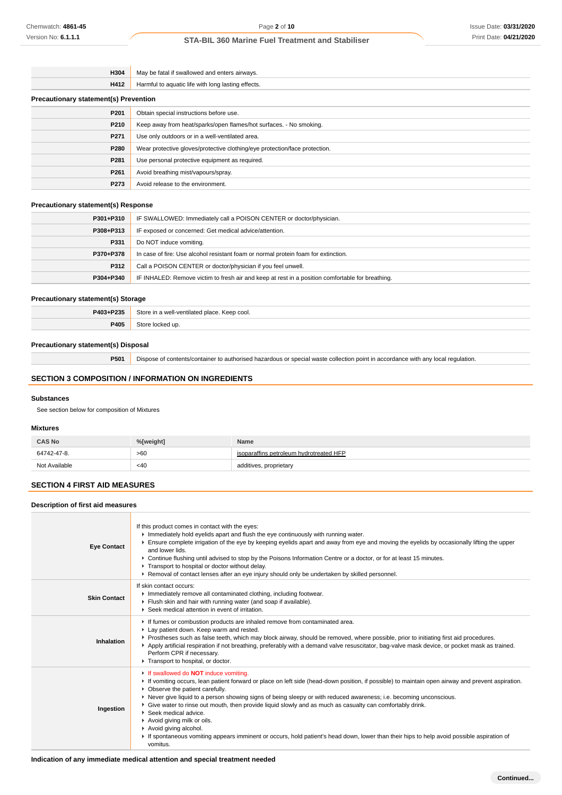| H304                                         | May be fatal if swallowed and enters airways.                              |  |
|----------------------------------------------|----------------------------------------------------------------------------|--|
| H412                                         | Harmful to aquatic life with long lasting effects.                         |  |
| <b>Precautionary statement(s) Prevention</b> |                                                                            |  |
| P <sub>201</sub>                             | Obtain special instructions before use.                                    |  |
| P210                                         | Keep away from heat/sparks/open flames/hot surfaces. - No smoking.         |  |
| P271                                         | Use only outdoors or in a well-ventilated area.                            |  |
| P280                                         | Wear protective gloves/protective clothing/eye protection/face protection. |  |
| P281                                         | Use personal protective equipment as required.                             |  |
| P <sub>261</sub>                             | Avoid breathing mist/vapours/spray.                                        |  |
| P273                                         | Avoid release to the environment.                                          |  |

#### **Precautionary statement(s) Response**

| P301+P310                                                                                                     | IF SWALLOWED: Immediately call a POISON CENTER or doctor/physician.                |  |
|---------------------------------------------------------------------------------------------------------------|------------------------------------------------------------------------------------|--|
| P308+P313                                                                                                     | IF exposed or concerned: Get medical advice/attention.                             |  |
| P331                                                                                                          | Do NOT induce vomiting.                                                            |  |
| P370+P378                                                                                                     | In case of fire: Use alcohol resistant foam or normal protein foam for extinction. |  |
| P312                                                                                                          | Call a POISON CENTER or doctor/physician if you feel unwell.                       |  |
| IF INHALED: Remove victim to fresh air and keep at rest in a position comfortable for breathing.<br>P304+P340 |                                                                                    |  |

#### **Precautionary statement(s) Storage**

| P403+P235   | Stori<br>Keep cool<br>1110<br>-vontuator |  |
|-------------|------------------------------------------|--|
| <b>P405</b> |                                          |  |

### **Precautionary statement(s) Disposal**

**P501** Dispose of contents/container to authorised hazardous or special waste collection point in accordance with any local regulation.

### **SECTION 3 COMPOSITION / INFORMATION ON INGREDIENTS**

#### **Substances**

See section below for composition of Mixtures

## **Mixtures**

| <b>CAS No</b> | %[weight] | Name                                    |
|---------------|-----------|-----------------------------------------|
| 64742-47-8.   | >60       | isoparaffins petroleum hydrotreated HFP |
| Not Available | <40       | additives, proprietary                  |

### **SECTION 4 FIRST AID MEASURES**

**Description of first aid measures**

#### **Eye Contact** If this product comes in contact with the eyes: Immediately hold eyelids apart and flush the eye continuously with running water. Ensure complete irrigation of the eye by keeping eyelids apart and away from eye and moving the eyelids by occasionally lifting the upper and lower lids. Continue flushing until advised to stop by the Poisons Information Centre or a doctor, or for at least 15 minutes. **Transport to hospital or doctor without delay.** Removal of contact lenses after an eye injury should only be undertaken by skilled personnel. **Skin Contact** If skin contact occurs: Immediately remove all contaminated clothing, including footwear. Flush skin and hair with running water (and soap if available). ▶ Seek medical attention in event of irritation. **Inhalation** If fumes or combustion products are inhaled remove from contaminated area. Lay patient down. Keep warm and rested. Prostheses such as false teeth, which may block airway, should be removed, where possible, prior to initiating first aid procedures. Apply artificial respiration if not breathing, preferably with a demand valve resuscitator, bag-valve mask device, or pocket mask as trained. Perform CPR if necessary Transport to hospital, or doctor **Ingestion** If swallowed do **NOT** induce vomiting. If vomiting occurs, lean patient forward or place on left side (head-down position, if possible) to maintain open airway and prevent aspiration. **Observe the patient carefully.** Never give liquid to a person showing signs of being sleepy or with reduced awareness; i.e. becoming unconscious. Give water to rinse out mouth, then provide liquid slowly and as much as casualty can comfortably drink. Seek medical advice. Avoid giving milk or oils. Avoid giving alcohol. If spontaneous vomiting appears imminent or occurs, hold patient's head down, lower than their hips to help avoid possible aspiration of vomitus.

### **Indication of any immediate medical attention and special treatment needed**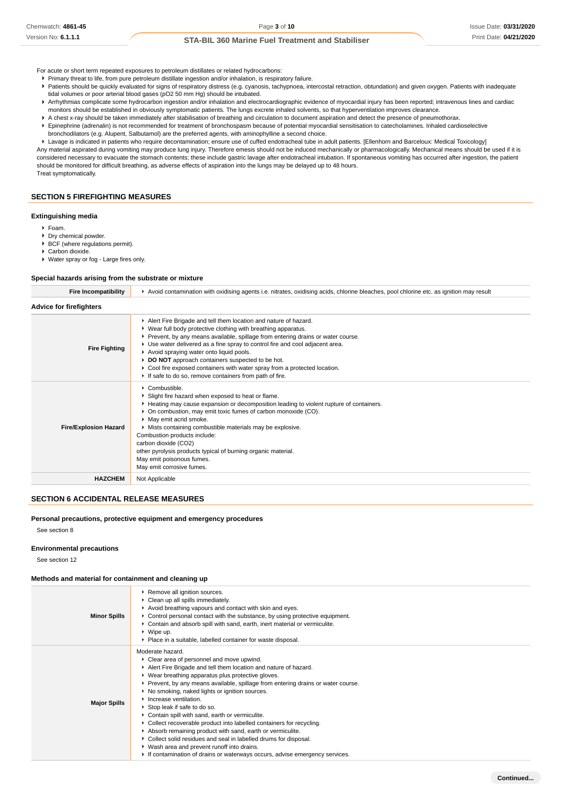- For acute or short term repeated exposures to petroleum distillates or related hydrocarbons:
- Primary threat to life, from pure petroleum distillate ingestion and/or inhalation, is respiratory failure.
- Patients should be quickly evaluated for signs of respiratory distress (e.g. cyanosis, tachypnoea, intercostal retraction, obtundation) and given oxygen. Patients with inadequate tidal volumes or poor arterial blood gases (pO2 50 mm Hg) should be intubated.
- ▶ Arrhythmias complicate some hydrocarbon ingestion and/or inhalation and electrocardiographic evidence of myocardial injury has been reported; intravenous lines and cardiac monitors should be established in obviously symptomatic patients. The lungs excrete inhaled solvents, so that hyperventilation improves clearance.
- A chest x-ray should be taken immediately after stabilisation of breathing and circulation to document aspiration and detect the presence of pneumothorax.
- Epinephrine (adrenalin) is not recommended for treatment of bronchospasm because of potential myocardial sensitisation to catecholamines. Inhaled cardioselective
- bronchodilators (e.g. Alupent, Salbutamol) are the preferred agents, with aminophylline a second choice.

Lavage is indicated in patients who require decontamination; ensure use of cuffed endotracheal tube in adult patients. [Ellenhorn and Barceloux: Medical Toxicology] Any material aspirated during vomiting may produce lung injury. Therefore emesis should not be induced mechanically or pharmacologically. Mechanical means should be used if it is considered necessary to evacuate the stomach contents; these include gastric lavage after endotracheal intubation. If spontaneous vomiting has occurred after ingestion, the patient should be monitored for difficult breathing, as adverse effects of aspiration into the lungs may be delayed up to 48 hours. Treat symptomatically.

## **SECTION 5 FIREFIGHTING MEASURES**

#### **Extinguishing media**

- Foam.
- Dry chemical powder.
- ▶ BCF (where regulations permit).
- Carbon dioxide.
- Water spray or fog Large fires only.

#### **Special hazards arising from the substrate or mixture**

| Avoid contamination with oxidising agents i.e. nitrates, oxidising acids, chlorine bleaches, pool chlorine etc. as ignition may result                                                                                                                                                                                                                                                                                                                                                                                                          |  |  |
|-------------------------------------------------------------------------------------------------------------------------------------------------------------------------------------------------------------------------------------------------------------------------------------------------------------------------------------------------------------------------------------------------------------------------------------------------------------------------------------------------------------------------------------------------|--|--|
|                                                                                                                                                                                                                                                                                                                                                                                                                                                                                                                                                 |  |  |
| Alert Fire Brigade and tell them location and nature of hazard.<br>▶ Wear full body protective clothing with breathing apparatus.<br>▶ Prevent, by any means available, spillage from entering drains or water course.<br>► Use water delivered as a fine spray to control fire and cool adjacent area.<br>Avoid spraying water onto liquid pools.<br>▶ DO NOT approach containers suspected to be hot.<br>▶ Cool fire exposed containers with water spray from a protected location.<br>If safe to do so, remove containers from path of fire. |  |  |
| $\triangleright$ Combustible.<br>Slight fire hazard when exposed to heat or flame.<br>► Heating may cause expansion or decomposition leading to violent rupture of containers.<br>• On combustion, may emit toxic fumes of carbon monoxide (CO).<br>• May emit acrid smoke.<br>Mists containing combustible materials may be explosive.<br>Combustion products include:<br>carbon dioxide (CO2)<br>other pyrolysis products typical of burning organic material.<br>May emit poisonous fumes.<br>May emit corrosive fumes.                      |  |  |
| Not Applicable                                                                                                                                                                                                                                                                                                                                                                                                                                                                                                                                  |  |  |
|                                                                                                                                                                                                                                                                                                                                                                                                                                                                                                                                                 |  |  |

#### **SECTION 6 ACCIDENTAL RELEASE MEASURES**

#### **Personal precautions, protective equipment and emergency procedures**

See section 8

#### **Environmental precautions**

See section 12

#### **Methods and material for containment and cleaning up**

| <b>Minor Spills</b> | ▶ Remove all ignition sources.<br>Clean up all spills immediately.<br>Avoid breathing vapours and contact with skin and eyes.<br>► Control personal contact with the substance, by using protective equipment.<br>► Contain and absorb spill with sand, earth, inert material or vermiculite.<br>$\triangleright$ Wipe up.<br>• Place in a suitable, labelled container for waste disposal.                                                                                                                                                                                                                                                                                                                                                                                       |
|---------------------|-----------------------------------------------------------------------------------------------------------------------------------------------------------------------------------------------------------------------------------------------------------------------------------------------------------------------------------------------------------------------------------------------------------------------------------------------------------------------------------------------------------------------------------------------------------------------------------------------------------------------------------------------------------------------------------------------------------------------------------------------------------------------------------|
| <b>Major Spills</b> | Moderate hazard.<br>• Clear area of personnel and move upwind.<br>Alert Fire Brigade and tell them location and nature of hazard.<br>▶ Wear breathing apparatus plus protective gloves.<br>▶ Prevent, by any means available, spillage from entering drains or water course.<br>▶ No smoking, naked lights or ignition sources.<br>Increase ventilation.<br>Stop leak if safe to do so.<br>Contain spill with sand, earth or vermiculite.<br>• Collect recoverable product into labelled containers for recycling.<br>Absorb remaining product with sand, earth or vermiculite.<br>▶ Collect solid residues and seal in labelled drums for disposal.<br>▶ Wash area and prevent runoff into drains.<br>If contamination of drains or waterways occurs, advise emergency services. |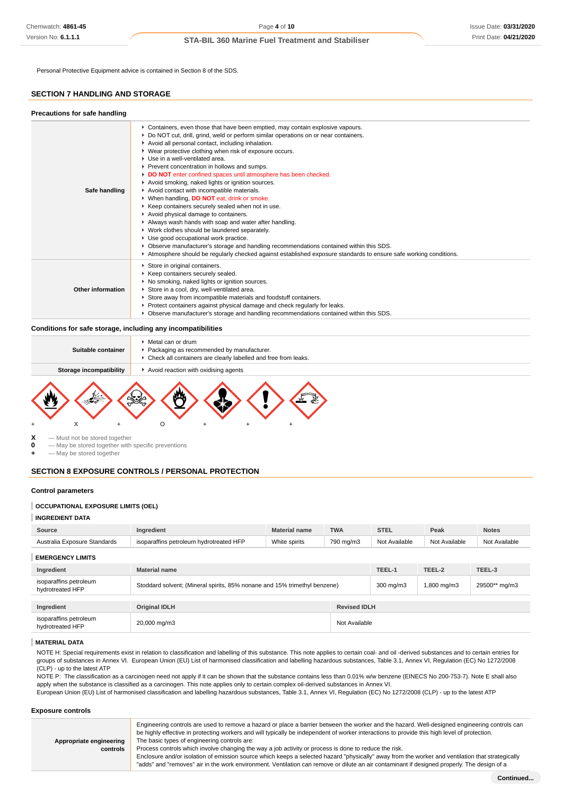Personal Protective Equipment advice is contained in Section 8 of the SDS.

### **SECTION 7 HANDLING AND STORAGE**

| Precautions for safe handling |                                                                                                                                                                                                                                                                                                                                                                                                                                                                                                                                                                                                                                                                                                                                                                                                                                                                                                                                                                                                                                                                                          |
|-------------------------------|------------------------------------------------------------------------------------------------------------------------------------------------------------------------------------------------------------------------------------------------------------------------------------------------------------------------------------------------------------------------------------------------------------------------------------------------------------------------------------------------------------------------------------------------------------------------------------------------------------------------------------------------------------------------------------------------------------------------------------------------------------------------------------------------------------------------------------------------------------------------------------------------------------------------------------------------------------------------------------------------------------------------------------------------------------------------------------------|
| Safe handling                 | ► Containers, even those that have been emptied, may contain explosive vapours.<br>▶ Do NOT cut, drill, grind, weld or perform similar operations on or near containers.<br>Avoid all personal contact, including inhalation.<br>▶ Wear protective clothing when risk of exposure occurs.<br>$\blacktriangleright$ Use in a well-ventilated area.<br>▶ Prevent concentration in hollows and sumps.<br>DO NOT enter confined spaces until atmosphere has been checked.<br>Avoid smoking, naked lights or ignition sources.<br>Avoid contact with incompatible materials.<br>▶ When handling, DO NOT eat, drink or smoke.<br>▶ Keep containers securely sealed when not in use.<br>Avoid physical damage to containers.<br>Always wash hands with soap and water after handling.<br>▶ Work clothes should be laundered separately.<br>Use good occupational work practice.<br>▶ Observe manufacturer's storage and handling recommendations contained within this SDS.<br>Atmosphere should be regularly checked against established exposure standards to ensure safe working conditions. |
| Other information             | Store in original containers.<br>Keep containers securely sealed.<br>▶ No smoking, naked lights or ignition sources.<br>Store in a cool, dry, well-ventilated area.<br>Store away from incompatible materials and foodstuff containers.<br>Protect containers against physical damage and check regularly for leaks.<br>▶ Observe manufacturer's storage and handling recommendations contained within this SDS.                                                                                                                                                                                                                                                                                                                                                                                                                                                                                                                                                                                                                                                                         |

### **Conditions for safe storage, including any incompatibilities**

| Suitable container<br>Storage incompatibility | • Packaging as recommended by manufacturer.<br>• Check all containers are clearly labelled and free from leaks.<br>Avoid reaction with oxidising agents |
|-----------------------------------------------|---------------------------------------------------------------------------------------------------------------------------------------------------------|
|                                               |                                                                                                                                                         |



**X** — Must not be stored together<br>**0** — May be stored together with

**0** — May be stored together with specific preventions

**+** — May be stored together

### **SECTION 8 EXPOSURE CONTROLS / PERSONAL PROTECTION**

#### **Control parameters**

#### **OCCUPATIONAL EXPOSURE LIMITS (OEL)**

| Source                                     | Ingredient                                                                | <b>Material name</b> | <b>TWA</b>    | <b>STEL</b>   | Peak          | <b>Notes</b>  |
|--------------------------------------------|---------------------------------------------------------------------------|----------------------|---------------|---------------|---------------|---------------|
| Australia Exposure Standards               | isoparaffins petroleum hydrotreated HFP                                   | White spirits        | 790 mg/m3     | Not Available | Not Available | Not Available |
| <b>EMERGENCY LIMITS</b>                    |                                                                           |                      |               |               |               |               |
| Ingredient                                 | <b>Material name</b>                                                      |                      |               | TEEL-1        | TEEL-2        | TEEL-3        |
| isoparaffins petroleum<br>hydrotreated HFP | Stoddard solvent; (Mineral spirits, 85% nonane and 15% trimethyl benzene) |                      |               | 300 mg/m3     | 1,800 mg/m3   | 29500** mg/m3 |
| Ingredient                                 | <b>Revised IDLH</b><br><b>Original IDLH</b>                               |                      |               |               |               |               |
| isoparaffins petroleum<br>hydrotreated HFP | 20,000 mg/m3                                                              |                      | Not Available |               |               |               |

#### **MATERIAL DATA**

NOTE H: Special requirements exist in relation to classification and labelling of this substance. This note applies to certain coal- and oil -derived substances and to certain entries for groups of substances in Annex VI. European Union (EU) List of harmonised classification and labelling hazardous substances, Table 3.1, Annex VI, Regulation (EC) No 1272/2008 (CLP) - up to the latest ATP

NOTE P: The classification as a carcinogen need not apply if it can be shown that the substance contains less than 0.01% w/w benzene (EINECS No 200-753-7). Note E shall also apply when the substance is classified as a carcinogen. This note applies only to certain complex oil-derived substances in Annex VI.

European Union (EU) List of harmonised classification and labelling hazardous substances, Table 3.1, Annex VI, Regulation (EC) No 1272/2008 (CLP) - up to the latest ATP

#### **Exposure controls**

|                         | Engineering controls are used to remove a hazard or place a barrier between the worker and the hazard. Well-designed engineering controls can    |
|-------------------------|--------------------------------------------------------------------------------------------------------------------------------------------------|
|                         | be highly effective in protecting workers and will typically be independent of worker interactions to provide this high level of protection.     |
| Appropriate engineering | The basic types of engineering controls are:                                                                                                     |
| <b>controls</b>         | Process controls which involve changing the way a job activity or process is done to reduce the risk.                                            |
|                         | Enclosure and/or isolation of emission source which keeps a selected hazard "physically" away from the worker and ventilation that strategically |
|                         | "adds" and "removes" air in the work environment. Ventilation can remove or dilute an air contaminant if designed properly. The design of a      |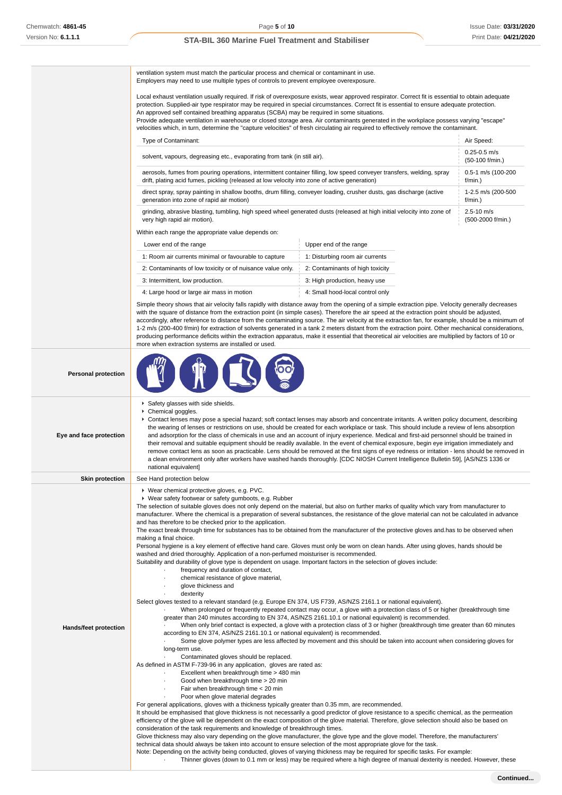ventilation system must match the particular process and chemical or contaminant in use. Employers may need to use multiple types of controls to prevent employee overexposure.

Local exhaust ventilation usually required. If risk of overexposure exists, wear approved respirator. Correct fit is essential to obtain adequate protection. Supplied-air type respirator may be required in special circumstances. Correct fit is essential to ensure adequate protection. An approved self contained breathing apparatus (SCBA) may be required in some situations.

Provide adequate ventilation in warehouse or closed storage area. Air contaminants generated in the workplace possess varying "escape" velocities which, in turn, determine the "capture velocities" of fresh circulating air required to effectively remove the contaminant.

| Type of Contaminant:                                                                                                                                                                                                           | Air Speed:                             |
|--------------------------------------------------------------------------------------------------------------------------------------------------------------------------------------------------------------------------------|----------------------------------------|
| solvent, vapours, degreasing etc., evaporating from tank (in still air).                                                                                                                                                       | $0.25 - 0.5$ m/s<br>$(50-100)$ f/min.) |
| aerosols, fumes from pouring operations, intermittent container filling, low speed conveyer transfers, welding, spray                                                                                                          | 0.5-1 m/s (100-200                     |
| drift, plating acid fumes, pickling (released at low velocity into zone of active generation)                                                                                                                                  | $f/min.$ )                             |
| direct spray, spray painting in shallow booths, drum filling, conveyer loading, crusher dusts, gas discharge (active                                                                                                           | 1-2.5 m/s (200-500                     |
| generation into zone of rapid air motion)                                                                                                                                                                                      | $f/min.$ )                             |
| grinding, abrasive blasting, tumbling, high speed wheel generated dusts (released at high initial velocity into zone of                                                                                                        | $2.5 - 10$ m/s                         |
| very high rapid air motion).                                                                                                                                                                                                   | (500-2000 f/min.)                      |
| A A Part Address of the contract of the contract of the contract of the contract of the contract of the contract of the contract of the contract of the contract of the contract of the contract of the contract of the contra |                                        |

Within each range the appropriate value depends on:

| Lower end of the range                                     | Upper end of the range           |
|------------------------------------------------------------|----------------------------------|
| 1: Room air currents minimal or favourable to capture      | 1: Disturbing room air currents  |
| 2: Contaminants of low toxicity or of nuisance value only. | 2: Contaminants of high toxicity |
| 3: Intermittent, low production.                           | 3: High production, heavy use    |
| 4: Large hood or large air mass in motion                  | 4: Small hood-local control only |

Simple theory shows that air velocity falls rapidly with distance away from the opening of a simple extraction pipe. Velocity generally decreases with the square of distance from the extraction point (in simple cases). Therefore the air speed at the extraction point should be adjusted, accordingly, after reference to distance from the contaminating source. The air velocity at the extraction fan, for example, should be a minimum of 1-2 m/s (200-400 f/min) for extraction of solvents generated in a tank 2 meters distant from the extraction point. Other mechanical considerations, producing performance deficits within the extraction apparatus, make it essential that theoretical air velocities are multiplied by factors of 10 or more when extraction systems are installed or used.

| <b>Personal protection</b> |                                                                                                                                                                                                                                                                                                                                                                                                                                                                                                                                                                                                                                                                                                                                                                                                                                                                                                                                                                                                                                                                                                                                                                                                                                                                                                                                                                                                                                                                                                                                                                                                                                                                                                                                                                                                                                                                                                                                                                                                                                                                                                                                                                                                                                                                                                                                                                                                                                                                                                                                                                                                                                                                                                                                                                                                                                                                                                                                                                                                                                                                                                                                                                    |
|----------------------------|--------------------------------------------------------------------------------------------------------------------------------------------------------------------------------------------------------------------------------------------------------------------------------------------------------------------------------------------------------------------------------------------------------------------------------------------------------------------------------------------------------------------------------------------------------------------------------------------------------------------------------------------------------------------------------------------------------------------------------------------------------------------------------------------------------------------------------------------------------------------------------------------------------------------------------------------------------------------------------------------------------------------------------------------------------------------------------------------------------------------------------------------------------------------------------------------------------------------------------------------------------------------------------------------------------------------------------------------------------------------------------------------------------------------------------------------------------------------------------------------------------------------------------------------------------------------------------------------------------------------------------------------------------------------------------------------------------------------------------------------------------------------------------------------------------------------------------------------------------------------------------------------------------------------------------------------------------------------------------------------------------------------------------------------------------------------------------------------------------------------------------------------------------------------------------------------------------------------------------------------------------------------------------------------------------------------------------------------------------------------------------------------------------------------------------------------------------------------------------------------------------------------------------------------------------------------------------------------------------------------------------------------------------------------------------------------------------------------------------------------------------------------------------------------------------------------------------------------------------------------------------------------------------------------------------------------------------------------------------------------------------------------------------------------------------------------------------------------------------------------------------------------------------------------|
| Eye and face protection    | Safety glasses with side shields.<br>▶ Chemical goggles.<br>▶ Contact lenses may pose a special hazard; soft contact lenses may absorb and concentrate irritants. A written policy document, describing<br>the wearing of lenses or restrictions on use, should be created for each workplace or task. This should include a review of lens absorption<br>and adsorption for the class of chemicals in use and an account of injury experience. Medical and first-aid personnel should be trained in<br>their removal and suitable equipment should be readily available. In the event of chemical exposure, begin eye irrigation immediately and<br>remove contact lens as soon as practicable. Lens should be removed at the first signs of eye redness or irritation - lens should be removed in<br>a clean environment only after workers have washed hands thoroughly. [CDC NIOSH Current Intelligence Bulletin 59], [AS/NZS 1336 or<br>national equivalent]                                                                                                                                                                                                                                                                                                                                                                                                                                                                                                                                                                                                                                                                                                                                                                                                                                                                                                                                                                                                                                                                                                                                                                                                                                                                                                                                                                                                                                                                                                                                                                                                                                                                                                                                                                                                                                                                                                                                                                                                                                                                                                                                                                                                  |
| <b>Skin protection</b>     | See Hand protection below                                                                                                                                                                                                                                                                                                                                                                                                                                                                                                                                                                                                                                                                                                                                                                                                                                                                                                                                                                                                                                                                                                                                                                                                                                                                                                                                                                                                                                                                                                                                                                                                                                                                                                                                                                                                                                                                                                                                                                                                                                                                                                                                                                                                                                                                                                                                                                                                                                                                                                                                                                                                                                                                                                                                                                                                                                                                                                                                                                                                                                                                                                                                          |
| Hands/feet protection      | ▶ Wear chemical protective gloves, e.g. PVC.<br>▶ Wear safety footwear or safety gumboots, e.g. Rubber<br>The selection of suitable gloves does not only depend on the material, but also on further marks of quality which vary from manufacturer to<br>manufacturer. Where the chemical is a preparation of several substances, the resistance of the glove material can not be calculated in advance<br>and has therefore to be checked prior to the application.<br>The exact break through time for substances has to be obtained from the manufacturer of the protective gloves and has to be observed when<br>making a final choice.<br>Personal hygiene is a key element of effective hand care. Gloves must only be worn on clean hands. After using gloves, hands should be<br>washed and dried thoroughly. Application of a non-perfumed moisturiser is recommended.<br>Suitability and durability of glove type is dependent on usage. Important factors in the selection of gloves include:<br>frequency and duration of contact,<br>chemical resistance of glove material,<br>glove thickness and<br>dexterity<br>Select gloves tested to a relevant standard (e.g. Europe EN 374, US F739, AS/NZS 2161.1 or national equivalent).<br>When prolonged or frequently repeated contact may occur, a glove with a protection class of 5 or higher (breakthrough time<br>greater than 240 minutes according to EN 374, AS/NZS 2161.10.1 or national equivalent) is recommended.<br>When only brief contact is expected, a glove with a protection class of 3 or higher (breakthrough time greater than 60 minutes<br>according to EN 374, AS/NZS 2161.10.1 or national equivalent) is recommended.<br>Some glove polymer types are less affected by movement and this should be taken into account when considering gloves for<br>long-term use.<br>Contaminated gloves should be replaced.<br>As defined in ASTM F-739-96 in any application, gloves are rated as:<br>Excellent when breakthrough time > 480 min<br>Good when breakthrough time > 20 min<br>Fair when breakthrough time < 20 min<br>Poor when glove material degrades<br>For general applications, gloves with a thickness typically greater than 0.35 mm, are recommended.<br>It should be emphasised that glove thickness is not necessarily a good predictor of glove resistance to a specific chemical, as the permeation<br>efficiency of the glove will be dependent on the exact composition of the glove material. Therefore, glove selection should also be based on<br>consideration of the task requirements and knowledge of breakthrough times.<br>Glove thickness may also vary depending on the glove manufacturer, the glove type and the glove model. Therefore, the manufacturers'<br>technical data should always be taken into account to ensure selection of the most appropriate glove for the task.<br>Note: Depending on the activity being conducted, gloves of varying thickness may be required for specific tasks. For example:<br>Thinner gloves (down to 0.1 mm or less) may be required where a high degree of manual dexterity is needed. However, these |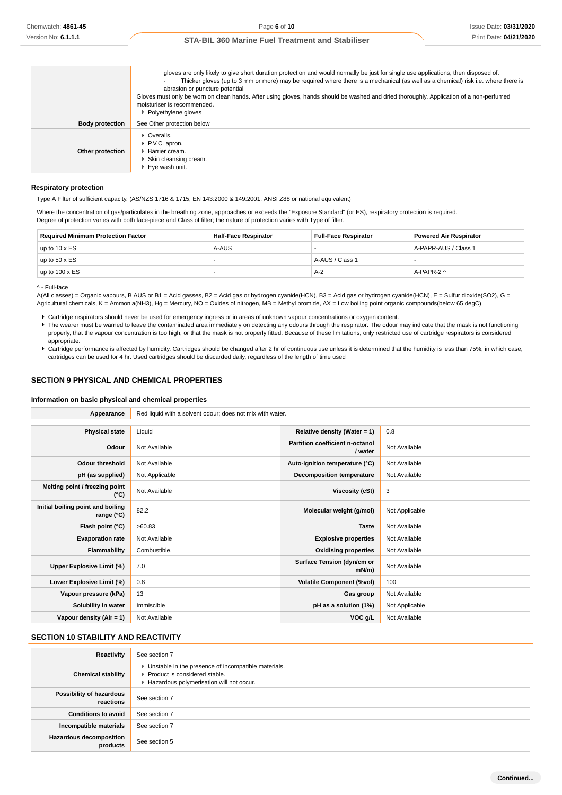|                        | gloves are only likely to give short duration protection and would normally be just for single use applications, then disposed of.<br>Thicker gloves (up to 3 mm or more) may be required where there is a mechanical (as well as a chemical) risk i.e. where there is<br>abrasion or puncture potential<br>Gloves must only be worn on clean hands. After using gloves, hands should be washed and dried thoroughly. Application of a non-perfumed<br>moisturiser is recommended.<br>▶ Polyethylene gloves |
|------------------------|-------------------------------------------------------------------------------------------------------------------------------------------------------------------------------------------------------------------------------------------------------------------------------------------------------------------------------------------------------------------------------------------------------------------------------------------------------------------------------------------------------------|
| <b>Body protection</b> | See Other protection below                                                                                                                                                                                                                                                                                                                                                                                                                                                                                  |
| Other protection       | • Overalls.<br>P.V.C. apron.<br><b>Barrier cream.</b><br>▶ Skin cleansing cream.<br>▶ Eve wash unit.                                                                                                                                                                                                                                                                                                                                                                                                        |

#### **Respiratory protection**

Type A Filter of sufficient capacity. (AS/NZS 1716 & 1715, EN 143:2000 & 149:2001, ANSI Z88 or national equivalent)

Where the concentration of gas/particulates in the breathing zone, approaches or exceeds the "Exposure Standard" (or ES), respiratory protection is required. Degree of protection varies with both face-piece and Class of filter; the nature of protection varies with Type of filter.

| <b>Required Minimum Protection Factor</b> | Half-Face Respirator | <b>Full-Face Respirator</b> | <b>Powered Air Respirator</b> |
|-------------------------------------------|----------------------|-----------------------------|-------------------------------|
| up to $10 \times ES$                      | A-AUS                |                             | A-PAPR-AUS / Class 1          |
| up to $50 \times ES$                      |                      | A-AUS / Class 1             |                               |
| up to $100 \times ES$                     |                      | $A-2$                       | A-PAPR-2 ^                    |

^ - Full-face

A(All classes) = Organic vapours, B AUS or B1 = Acid gasses, B2 = Acid gas or hydrogen cyanide(HCN), B3 = Acid gas or hydrogen cyanide(HCN), E = Sulfur dioxide(SO2), G = Agricultural chemicals, K = Ammonia(NH3), Hg = Mercury, NO = Oxides of nitrogen, MB = Methyl bromide, AX = Low boiling point organic compounds(below 65 degC)

Cartridge respirators should never be used for emergency ingress or in areas of unknown vapour concentrations or oxygen content.

▶ The wearer must be warned to leave the contaminated area immediately on detecting any odours through the respirator. The odour may indicate that the mask is not functioning properly, that the vapour concentration is too high, or that the mask is not properly fitted. Because of these limitations, only restricted use of cartridge respirators is considered appropriate.

Cartridge performance is affected by humidity. Cartridges should be changed after 2 hr of continuous use unless it is determined that the humidity is less than 75%, in which case, cartridges can be used for 4 hr. Used cartridges should be discarded daily, regardless of the length of time used

### **SECTION 9 PHYSICAL AND CHEMICAL PROPERTIES**

#### **Information on basic physical and chemical properties**

| Appearance                                      | Red liquid with a solvent odour; does not mix with water. |                                            |                |  |  |
|-------------------------------------------------|-----------------------------------------------------------|--------------------------------------------|----------------|--|--|
|                                                 |                                                           |                                            |                |  |  |
| <b>Physical state</b>                           | Liquid                                                    | Relative density (Water = 1)               | 0.8            |  |  |
| Odour                                           | Not Available                                             | Partition coefficient n-octanol<br>/ water | Not Available  |  |  |
| <b>Odour threshold</b>                          | Not Available                                             | Auto-ignition temperature (°C)             | Not Available  |  |  |
| pH (as supplied)                                | Not Applicable                                            | Decomposition temperature                  | Not Available  |  |  |
| Melting point / freezing point<br>(°C)          | Not Available                                             | Viscosity (cSt)                            | 3              |  |  |
| Initial boiling point and boiling<br>range (°C) | 82.2                                                      | Molecular weight (g/mol)                   | Not Applicable |  |  |
| Flash point (°C)                                | >60.83                                                    | <b>Taste</b>                               | Not Available  |  |  |
| <b>Evaporation rate</b>                         | Not Available                                             | <b>Explosive properties</b>                | Not Available  |  |  |
| Flammability                                    | Combustible.                                              | <b>Oxidising properties</b>                | Not Available  |  |  |
| Upper Explosive Limit (%)                       | 7.0                                                       | Surface Tension (dyn/cm or<br>mN/m         | Not Available  |  |  |
| Lower Explosive Limit (%)                       | 0.8                                                       | <b>Volatile Component (%vol)</b>           | 100            |  |  |
| Vapour pressure (kPa)                           | 13                                                        | Gas group                                  | Not Available  |  |  |
| Solubility in water                             | Immiscible                                                | pH as a solution (1%)                      | Not Applicable |  |  |
| Vapour density $(Air = 1)$                      | Not Available                                             | VOC g/L                                    | Not Available  |  |  |

## **SECTION 10 STABILITY AND REACTIVITY**

| Reactivity                                 | See section 7                                                                                                                        |
|--------------------------------------------|--------------------------------------------------------------------------------------------------------------------------------------|
| <b>Chemical stability</b>                  | • Unstable in the presence of incompatible materials.<br>▶ Product is considered stable.<br>Hazardous polymerisation will not occur. |
| Possibility of hazardous<br>reactions      | See section 7                                                                                                                        |
| <b>Conditions to avoid</b>                 | See section 7                                                                                                                        |
| Incompatible materials                     | See section 7                                                                                                                        |
| <b>Hazardous decomposition</b><br>products | See section 5                                                                                                                        |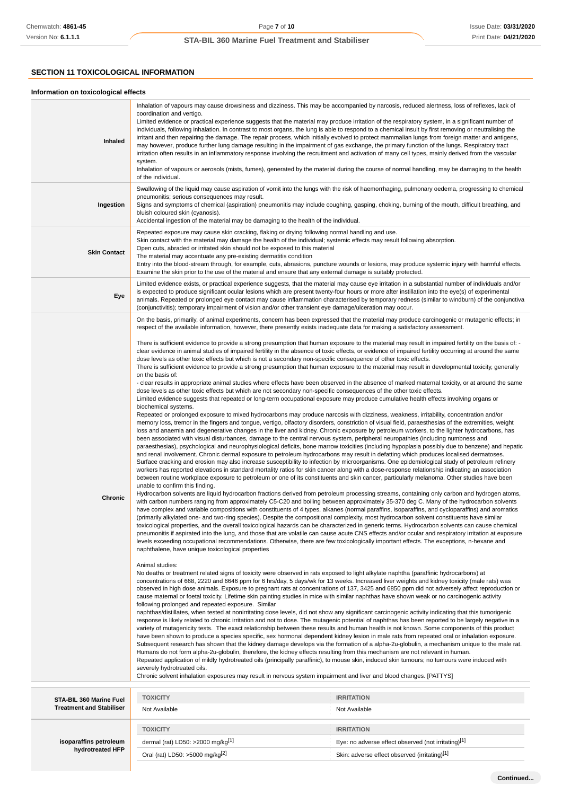## **SECTION 11 TOXICOLOGICAL INFORMATION**

### **Information on toxicological effects**

| Inhaled<br>Ingestion                                       | Inhalation of vapours may cause drowsiness and dizziness. This may be accompanied by narcosis, reduced alertness, loss of reflexes, lack of<br>coordination and vertigo.<br>Limited evidence or practical experience suggests that the material may produce irritation of the respiratory system, in a significant number of<br>individuals, following inhalation. In contrast to most organs, the lung is able to respond to a chemical insult by first removing or neutralising the<br>irritant and then repairing the damage. The repair process, which initially evolved to protect mammalian lungs from foreign matter and antigens,<br>may however, produce further lung damage resulting in the impairment of gas exchange, the primary function of the lungs. Respiratory tract<br>irritation often results in an inflammatory response involving the recruitment and activation of many cell types, mainly derived from the vascular<br>system.<br>Inhalation of vapours or aerosols (mists, fumes), generated by the material during the course of normal handling, may be damaging to the health<br>of the individual.<br>Swallowing of the liquid may cause aspiration of vomit into the lungs with the risk of haemorrhaging, pulmonary oedema, progressing to chemical<br>pneumonitis; serious consequences may result.<br>Signs and symptoms of chemical (aspiration) pneumonitis may include coughing, gasping, choking, burning of the mouth, difficult breathing, and<br>bluish coloured skin (cyanosis).<br>Accidental ingestion of the material may be damaging to the health of the individual.                                                                                                                                                                                                                                                                                                                                                                                                                                                                                                                                                                                                                                                                                                                                                                                                                                                                                                                                                                                                                                                                                                                                                                                                                                                                                                                                                                                                                                                                                                                                                                                                                                                                                                                                                                                                                                                                                                                                                                                                                                                                                                                                                                                                                                                                                                                                                                                                                                                                                                                                                                                                                                                                                                                                                                                                                                                                                                                                                                                                                                                                                                                                                                                                                                                                                                                                                                                                                                                                                                                                                                                                                                                                                                                                                                                                                                                                                                                                                                                                                                                          |                                                                          |  |
|------------------------------------------------------------|-------------------------------------------------------------------------------------------------------------------------------------------------------------------------------------------------------------------------------------------------------------------------------------------------------------------------------------------------------------------------------------------------------------------------------------------------------------------------------------------------------------------------------------------------------------------------------------------------------------------------------------------------------------------------------------------------------------------------------------------------------------------------------------------------------------------------------------------------------------------------------------------------------------------------------------------------------------------------------------------------------------------------------------------------------------------------------------------------------------------------------------------------------------------------------------------------------------------------------------------------------------------------------------------------------------------------------------------------------------------------------------------------------------------------------------------------------------------------------------------------------------------------------------------------------------------------------------------------------------------------------------------------------------------------------------------------------------------------------------------------------------------------------------------------------------------------------------------------------------------------------------------------------------------------------------------------------------------------------------------------------------------------------------------------------------------------------------------------------------------------------------------------------------------------------------------------------------------------------------------------------------------------------------------------------------------------------------------------------------------------------------------------------------------------------------------------------------------------------------------------------------------------------------------------------------------------------------------------------------------------------------------------------------------------------------------------------------------------------------------------------------------------------------------------------------------------------------------------------------------------------------------------------------------------------------------------------------------------------------------------------------------------------------------------------------------------------------------------------------------------------------------------------------------------------------------------------------------------------------------------------------------------------------------------------------------------------------------------------------------------------------------------------------------------------------------------------------------------------------------------------------------------------------------------------------------------------------------------------------------------------------------------------------------------------------------------------------------------------------------------------------------------------------------------------------------------------------------------------------------------------------------------------------------------------------------------------------------------------------------------------------------------------------------------------------------------------------------------------------------------------------------------------------------------------------------------------------------------------------------------------------------------------------------------------------------------------------------------------------------------------------------------------------------------------------------------------------------------------------------------------------------------------------------------------------------------------------------------------------------------------------------------------------------------------------------------------------------------------------------------------------------------------------------------------------------------------------------------------------------------------------------------------------------------------------------------------------------------------------------------------------------------------------------------------------------------------------------------------------------------------------------------------------------------------------------------------------------------------------------------------------------------------------------------------------------------------------------------------------------------------------------------------------------------------------------------------------------------------------------------------------------------------------------------------------------------------------------------------------------------------------------------------------------------------|--------------------------------------------------------------------------|--|
| <b>Skin Contact</b>                                        | Repeated exposure may cause skin cracking, flaking or drying following normal handling and use.<br>Skin contact with the material may damage the health of the individual; systemic effects may result following absorption.<br>Open cuts, abraded or irritated skin should not be exposed to this material<br>The material may accentuate any pre-existing dermatitis condition<br>Entry into the blood-stream through, for example, cuts, abrasions, puncture wounds or lesions, may produce systemic injury with harmful effects.<br>Examine the skin prior to the use of the material and ensure that any external damage is suitably protected.                                                                                                                                                                                                                                                                                                                                                                                                                                                                                                                                                                                                                                                                                                                                                                                                                                                                                                                                                                                                                                                                                                                                                                                                                                                                                                                                                                                                                                                                                                                                                                                                                                                                                                                                                                                                                                                                                                                                                                                                                                                                                                                                                                                                                                                                                                                                                                                                                                                                                                                                                                                                                                                                                                                                                                                                                                                                                                                                                                                                                                                                                                                                                                                                                                                                                                                                                                                                                                                                                                                                                                                                                                                                                                                                                                                                                                                                                                                                                                                                                                                                                                                                                                                                                                                                                                                                                                                                                                                                                                                                                                                                                                                                                                                                                                                                                                                                                                                                                                                                                          |                                                                          |  |
| Eye                                                        | Limited evidence exists, or practical experience suggests, that the material may cause eye irritation in a substantial number of individuals and/or<br>is expected to produce significant ocular lesions which are present twenty-four hours or more after instillation into the eye(s) of experimental<br>animals. Repeated or prolonged eye contact may cause inflammation characterised by temporary redness (similar to windburn) of the conjunctiva<br>(conjunctivitis); temporary impairment of vision and/or other transient eye damage/ulceration may occur.                                                                                                                                                                                                                                                                                                                                                                                                                                                                                                                                                                                                                                                                                                                                                                                                                                                                                                                                                                                                                                                                                                                                                                                                                                                                                                                                                                                                                                                                                                                                                                                                                                                                                                                                                                                                                                                                                                                                                                                                                                                                                                                                                                                                                                                                                                                                                                                                                                                                                                                                                                                                                                                                                                                                                                                                                                                                                                                                                                                                                                                                                                                                                                                                                                                                                                                                                                                                                                                                                                                                                                                                                                                                                                                                                                                                                                                                                                                                                                                                                                                                                                                                                                                                                                                                                                                                                                                                                                                                                                                                                                                                                                                                                                                                                                                                                                                                                                                                                                                                                                                                                                          |                                                                          |  |
| Chronic                                                    | On the basis, primarily, of animal experiments, concern has been expressed that the material may produce carcinogenic or mutagenic effects; in<br>respect of the available information, however, there presently exists inadequate data for making a satisfactory assessment.<br>There is sufficient evidence to provide a strong presumption that human exposure to the material may result in impaired fertility on the basis of: -<br>clear evidence in animal studies of impaired fertility in the absence of toxic effects, or evidence of impaired fertility occurring at around the same<br>dose levels as other toxic effects but which is not a secondary non-specific consequence of other toxic effects.<br>There is sufficient evidence to provide a strong presumption that human exposure to the material may result in developmental toxicity, generally<br>on the basis of:<br>- clear results in appropriate animal studies where effects have been observed in the absence of marked maternal toxicity, or at around the same<br>dose levels as other toxic effects but which are not secondary non-specific consequences of the other toxic effects.<br>Limited evidence suggests that repeated or long-term occupational exposure may produce cumulative health effects involving organs or<br>biochemical systems.<br>Repeated or prolonged exposure to mixed hydrocarbons may produce narcosis with dizziness, weakness, irritability, concentration and/or<br>memory loss, tremor in the fingers and tongue, vertigo, olfactory disorders, constriction of visual field, paraesthesias of the extremities, weight<br>loss and anaemia and degenerative changes in the liver and kidney. Chronic exposure by petroleum workers, to the lighter hydrocarbons, has<br>been associated with visual disturbances, damage to the central nervous system, peripheral neuropathies (including numbness and<br>paraesthesias), psychological and neurophysiological deficits, bone marrow toxicities (including hypoplasia possibly due to benzene) and hepatic<br>and renal involvement. Chronic dermal exposure to petroleum hydrocarbons may result in defatting which produces localised dermatoses.<br>Surface cracking and erosion may also increase susceptibility to infection by microorganisms. One epidemiological study of petroleum refinery<br>workers has reported elevations in standard mortality ratios for skin cancer along with a dose-response relationship indicating an association<br>between routine workplace exposure to petroleum or one of its constituents and skin cancer, particularly melanoma. Other studies have been<br>unable to confirm this finding.<br>Hydrocarbon solvents are liquid hydrocarbon fractions derived from petroleum processing streams, containing only carbon and hydrogen atoms,<br>with carbon numbers ranging from approximately C5-C20 and boiling between approximately 35-370 deg C. Many of the hydrocarbon solvents<br>have complex and variable compositions with constituents of 4 types, alkanes (normal paraffins, isoparaffins, and cycloparaffins) and aromatics<br>(primarily alkylated one- and two-ring species). Despite the compositional complexity, most hydrocarbon solvent constituents have similar<br>toxicological properties, and the overall toxicological hazards can be characterized in generic terms. Hydrocarbon solvents can cause chemical<br>pneumonitis if aspirated into the lung, and those that are volatile can cause acute CNS effects and/or ocular and respiratory irritation at exposure<br>levels exceeding occupational recommendations. Otherwise, there are few toxicologically important effects. The exceptions, n-hexane and<br>naphthalene, have unique toxicological properties<br>Animal studies:<br>No deaths or treatment related signs of toxicity were observed in rats exposed to light alkylate naphtha (paraffinic hydrocarbons) at<br>concentrations of 668, 2220 and 6646 ppm for 6 hrs/day, 5 days/wk for 13 weeks. Increased liver weights and kidney toxicity (male rats) was<br>observed in high dose animals. Exposure to pregnant rats at concentrations of 137, 3425 and 6850 ppm did not adversely affect reproduction or<br>cause maternal or foetal toxicity. Lifetime skin painting studies in mice with similar naphthas have shown weak or no carcinogenic activity<br>following prolonged and repeated exposure. Similar<br>naphthas/distillates, when tested at nonirritating dose levels, did not show any significant carcinogenic activity indicating that this tumorigenic<br>response is likely related to chronic irritation and not to dose. The mutagenic potential of naphthas has been reported to be largely negative in a<br>variety of mutagenicity tests. The exact relationship between these results and human health is not known. Some components of this product<br>have been shown to produce a species specific, sex hormonal dependent kidney lesion in male rats from repeated oral or inhalation exposure.<br>Subsequent research has shown that the kidney damage develops via the formation of a alpha-2u-globulin, a mechanism unique to the male rat.<br>Humans do not form alpha-2u-globulin, therefore, the kidney effects resulting from this mechanism are not relevant in human.<br>Repeated application of mildly hydrotreated oils (principally paraffinic), to mouse skin, induced skin tumours; no tumours were induced with<br>severely hydrotreated oils.<br>Chronic solvent inhalation exposures may result in nervous system impairment and liver and blood changes. [PATTYS] |                                                                          |  |
| STA-BIL 360 Marine Fuel<br><b>Treatment and Stabiliser</b> | <b>TOXICITY</b><br>Not Available                                                                                                                                                                                                                                                                                                                                                                                                                                                                                                                                                                                                                                                                                                                                                                                                                                                                                                                                                                                                                                                                                                                                                                                                                                                                                                                                                                                                                                                                                                                                                                                                                                                                                                                                                                                                                                                                                                                                                                                                                                                                                                                                                                                                                                                                                                                                                                                                                                                                                                                                                                                                                                                                                                                                                                                                                                                                                                                                                                                                                                                                                                                                                                                                                                                                                                                                                                                                                                                                                                                                                                                                                                                                                                                                                                                                                                                                                                                                                                                                                                                                                                                                                                                                                                                                                                                                                                                                                                                                                                                                                                                                                                                                                                                                                                                                                                                                                                                                                                                                                                                                                                                                                                                                                                                                                                                                                                                                                                                                                                                                                                                                                                              | <b>IRRITATION</b><br>Not Available                                       |  |
| isoparaffins petroleum<br>hydrotreated HFP                 | <b>TOXICITY</b><br>dermal (rat) LD50: >2000 mg/kg $[1]$                                                                                                                                                                                                                                                                                                                                                                                                                                                                                                                                                                                                                                                                                                                                                                                                                                                                                                                                                                                                                                                                                                                                                                                                                                                                                                                                                                                                                                                                                                                                                                                                                                                                                                                                                                                                                                                                                                                                                                                                                                                                                                                                                                                                                                                                                                                                                                                                                                                                                                                                                                                                                                                                                                                                                                                                                                                                                                                                                                                                                                                                                                                                                                                                                                                                                                                                                                                                                                                                                                                                                                                                                                                                                                                                                                                                                                                                                                                                                                                                                                                                                                                                                                                                                                                                                                                                                                                                                                                                                                                                                                                                                                                                                                                                                                                                                                                                                                                                                                                                                                                                                                                                                                                                                                                                                                                                                                                                                                                                                                                                                                                                                       | <b>IRRITATION</b><br>Eye: no adverse effect observed (not irritating)[1] |  |

Oral (rat) LD50: >5000 mg/kg<sup>[2]</sup> Skin: adverse effect observed (irritating)<sup>[1]</sup>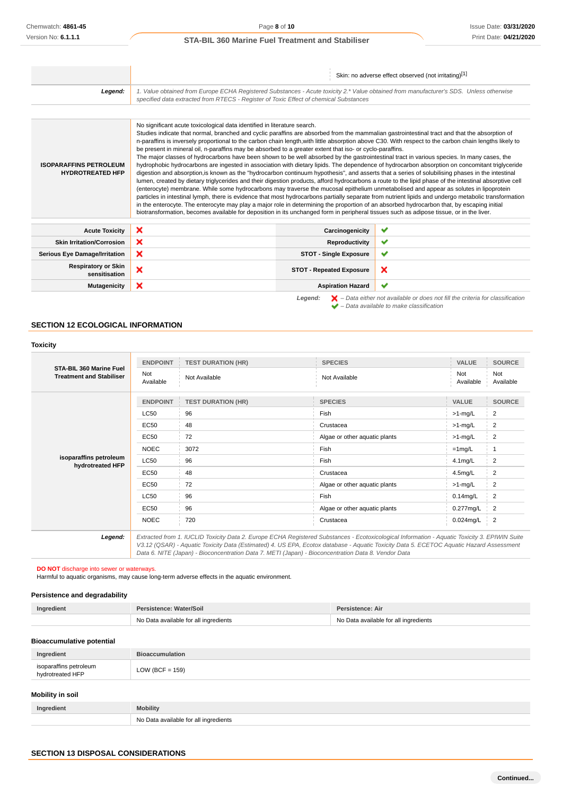|                                                          |                                                                                                                                                                                                                                                                                                                                                                                                                                                                                                                                                                                                                                                                                                                                                                                                                                                                                                                        |                                 | Skin: no adverse effect observed (not irritating)[1]                                                                                                                                                                                                                                                                                                                                                                                                                                                                                                                                                                                                                                                                                                                           |
|----------------------------------------------------------|------------------------------------------------------------------------------------------------------------------------------------------------------------------------------------------------------------------------------------------------------------------------------------------------------------------------------------------------------------------------------------------------------------------------------------------------------------------------------------------------------------------------------------------------------------------------------------------------------------------------------------------------------------------------------------------------------------------------------------------------------------------------------------------------------------------------------------------------------------------------------------------------------------------------|---------------------------------|--------------------------------------------------------------------------------------------------------------------------------------------------------------------------------------------------------------------------------------------------------------------------------------------------------------------------------------------------------------------------------------------------------------------------------------------------------------------------------------------------------------------------------------------------------------------------------------------------------------------------------------------------------------------------------------------------------------------------------------------------------------------------------|
| Legend:                                                  | 1. Value obtained from Europe ECHA Registered Substances - Acute toxicity 2.* Value obtained from manufacturer's SDS. Unless otherwise<br>specified data extracted from RTECS - Register of Toxic Effect of chemical Substances                                                                                                                                                                                                                                                                                                                                                                                                                                                                                                                                                                                                                                                                                        |                                 |                                                                                                                                                                                                                                                                                                                                                                                                                                                                                                                                                                                                                                                                                                                                                                                |
|                                                          |                                                                                                                                                                                                                                                                                                                                                                                                                                                                                                                                                                                                                                                                                                                                                                                                                                                                                                                        |                                 |                                                                                                                                                                                                                                                                                                                                                                                                                                                                                                                                                                                                                                                                                                                                                                                |
| <b>ISOPARAFFINS PETROLEUM</b><br><b>HYDROTREATED HFP</b> | No significant acute toxicological data identified in literature search.<br>Studies indicate that normal, branched and cyclic paraffins are absorbed from the mammalian gastrointestinal tract and that the absorption of<br>be present in mineral oil, n-paraffins may be absorbed to a greater extent that iso- or cyclo-paraffins.<br>The major classes of hydrocarbons have been shown to be well absorbed by the gastrointestinal tract in various species. In many cases, the<br>(enterocyte) membrane. While some hydrocarbons may traverse the mucosal epithelium unmetabolised and appear as solutes in lipoprotein<br>in the enterocyte. The enterocyte may play a major role in determining the proportion of an absorbed hydrocarbon that, by escaping initial<br>biotransformation, becomes available for deposition in its unchanged form in peripheral tissues such as adipose tissue, or in the liver. |                                 | n-paraffins is inversely proportional to the carbon chain length, with little absorption above C30. With respect to the carbon chain lengths likely to<br>hydrophobic hydrocarbons are ingested in association with dietary lipids. The dependence of hydrocarbon absorption on concomitant triglyceride<br>digestion and absorption, is known as the "hydrocarbon continuum hypothesis", and asserts that a series of solubilising phases in the intestinal<br>lumen, created by dietary triglycerides and their digestion products, afford hydrocarbons a route to the lipid phase of the intestinal absorptive cell<br>particles in intestinal lymph, there is evidence that most hydrocarbons partially separate from nutrient lipids and undergo metabolic transformation |
| <b>Acute Toxicity</b>                                    | ×                                                                                                                                                                                                                                                                                                                                                                                                                                                                                                                                                                                                                                                                                                                                                                                                                                                                                                                      | Carcinogenicity                 | ✔                                                                                                                                                                                                                                                                                                                                                                                                                                                                                                                                                                                                                                                                                                                                                                              |
| <b>Skin Irritation/Corrosion</b>                         | ×                                                                                                                                                                                                                                                                                                                                                                                                                                                                                                                                                                                                                                                                                                                                                                                                                                                                                                                      | Reproductivity                  | ✔                                                                                                                                                                                                                                                                                                                                                                                                                                                                                                                                                                                                                                                                                                                                                                              |
| <b>Serious Eye Damage/Irritation</b>                     | ×                                                                                                                                                                                                                                                                                                                                                                                                                                                                                                                                                                                                                                                                                                                                                                                                                                                                                                                      | <b>STOT - Single Exposure</b>   | ✔                                                                                                                                                                                                                                                                                                                                                                                                                                                                                                                                                                                                                                                                                                                                                                              |
| <b>Respiratory or Skin</b><br>sensitisation              | ×                                                                                                                                                                                                                                                                                                                                                                                                                                                                                                                                                                                                                                                                                                                                                                                                                                                                                                                      | <b>STOT - Repeated Exposure</b> | ×                                                                                                                                                                                                                                                                                                                                                                                                                                                                                                                                                                                                                                                                                                                                                                              |
| <b>Mutagenicity</b>                                      | ×                                                                                                                                                                                                                                                                                                                                                                                                                                                                                                                                                                                                                                                                                                                                                                                                                                                                                                                      | <b>Aspiration Hazard</b>        | ✔                                                                                                                                                                                                                                                                                                                                                                                                                                                                                                                                                                                                                                                                                                                                                                              |
|                                                          |                                                                                                                                                                                                                                                                                                                                                                                                                                                                                                                                                                                                                                                                                                                                                                                                                                                                                                                        | Legend:                         | $\blacktriangleright$ - Data either not available or does not fill the criteria for classification                                                                                                                                                                                                                                                                                                                                                                                                                                                                                                                                                                                                                                                                             |

## **SECTION 12 ECOLOGICAL INFORMATION**

### **Toxicity**

| STA-BIL 360 Marine Fuel<br><b>Treatment and Stabiliser</b> | <b>ENDPOINT</b>  | <b>TEST DURATION (HR)</b> | <b>SPECIES</b>                | VALUE            | <b>SOURCE</b>    |
|------------------------------------------------------------|------------------|---------------------------|-------------------------------|------------------|------------------|
|                                                            | Not<br>Available | Not Available             | Not Available                 | Not<br>Available | Not<br>Available |
|                                                            | <b>ENDPOINT</b>  | <b>TEST DURATION (HR)</b> | <b>SPECIES</b>                | <b>VALUE</b>     | <b>SOURCE</b>    |
|                                                            | <b>LC50</b>      | 96                        | Fish                          | $>1$ -mg/L       | 2                |
|                                                            | EC50             | 48                        | Crustacea                     | $>1$ -mg/L       | 2                |
| isoparaffins petroleum<br>hydrotreated HFP                 | EC50             | 72                        | Algae or other aquatic plants | $>1$ -mg/L       | 2                |
|                                                            | <b>NOEC</b>      | 3072                      | Fish                          | $=1$ mg/L        |                  |
|                                                            | LC50             | 96                        | Fish                          | $4.1$ mg/L       | 2                |
|                                                            | EC50             | 48                        | Crustacea                     | $4.5$ mg/L       | 2                |
|                                                            | EC50             | 72                        | Algae or other aquatic plants | $>1$ -mg/L       | 2                |
|                                                            | <b>LC50</b>      | 96                        | Fish                          | $0.14$ mg/L      | 2                |
|                                                            | EC50             | 96                        | Algae or other aquatic plants | 0.277mg/L        | 2                |
|                                                            | <b>NOEC</b>      | 720                       | Crustacea                     | $0.024$ mg/L     | $\frac{1}{2}$    |

V3.12 (QSAR) - Aquatic Toxicity Data (Estimated) 4. US EPA, Ecotox database - Aquatic Toxicity Data 5. ECETOC Aquatic Hazard Assessment Data 6. NITE (Japan) - Bioconcentration Data 7. METI (Japan) - Bioconcentration Data 8. Vendor Data

– Data available to make classification

#### **DO NOT** discharge into sewer or waterways.

Harmful to aquatic organisms, may cause long-term adverse effects in the aquatic environment.

No Data available for all ingredients

## **Persistence and degradability**

| Ingredient | Persistence: Water/Soil               | Persistence: Air                      |  |
|------------|---------------------------------------|---------------------------------------|--|
|            | No Data available for all ingredients | No Data available for all ingredients |  |

### **Bioaccumulative potential**

| Ingredient                                 | <b>Bioaccumulation</b> |  |  |
|--------------------------------------------|------------------------|--|--|
| isoparaffins petroleum<br>hydrotreated HFP | $LOW (BCF = 159)$      |  |  |
| <b>Mobility in soil</b>                    |                        |  |  |
| Ingredient                                 | <b>Mobility</b>        |  |  |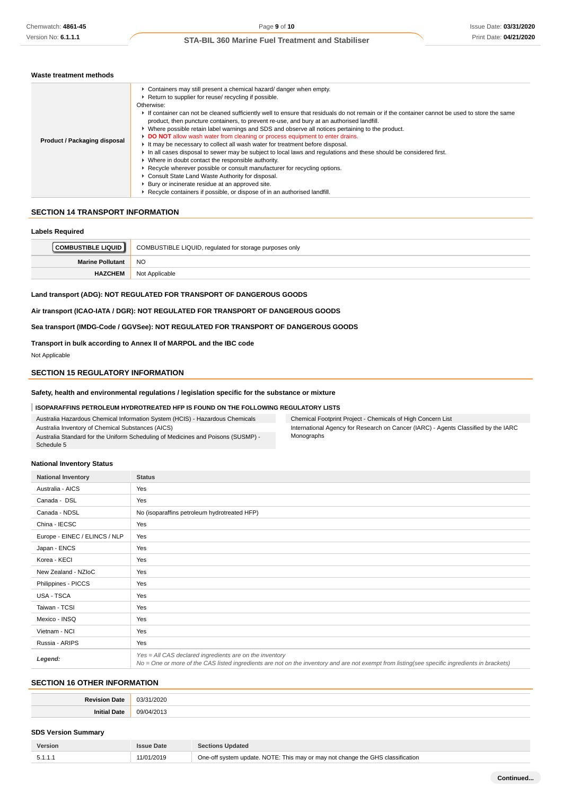### **Waste treatment methods**

## **SECTION 14 TRANSPORT INFORMATION**

### **Labels Required**

| <b>│COMBUSTIBLE LIQUID ┃</b> | COMBUSTIBLE LIQUID, regulated for storage purposes only |
|------------------------------|---------------------------------------------------------|
| <b>Marine Pollutant</b>      | <sub>NO</sub>                                           |
| <b>HAZCHEM</b>               | Not Applicable                                          |

### **Land transport (ADG): NOT REGULATED FOR TRANSPORT OF DANGEROUS GOODS**

**Air transport (ICAO-IATA / DGR): NOT REGULATED FOR TRANSPORT OF DANGEROUS GOODS**

### **Sea transport (IMDG-Code / GGVSee): NOT REGULATED FOR TRANSPORT OF DANGEROUS GOODS**

## **Transport in bulk according to Annex II of MARPOL and the IBC code**

Not Applicable

## **SECTION 15 REGULATORY INFORMATION**

### **Safety, health and environmental regulations / legislation specific for the substance or mixture**

### **ISOPARAFFINS PETROLEUM HYDROTREATED HFP IS FOUND ON THE FOLLOWING REGULATORY LISTS**

Australia Hazardous Chemical Information System (HCIS) - Hazardous Chemicals Australia Inventory of Chemical Substances (AICS) Australia Standard for the Uniform Scheduling of Medicines and Poisons (SUSMP) - Schedule 5

| Chemical Footprint Project - Chemicals of High Concern List                        |
|------------------------------------------------------------------------------------|
| International Agency for Research on Cancer (IARC) - Agents Classified by the IARC |
| Monographs                                                                         |

#### **National Inventory Status**

| <b>National Inventory</b>     | <b>Status</b>                                                                                                                                                                                            |
|-------------------------------|----------------------------------------------------------------------------------------------------------------------------------------------------------------------------------------------------------|
| Australia - AICS              | Yes                                                                                                                                                                                                      |
| Canada - DSL                  | Yes                                                                                                                                                                                                      |
| Canada - NDSL                 | No (isoparaffins petroleum hydrotreated HFP)                                                                                                                                                             |
| China - IECSC                 | Yes                                                                                                                                                                                                      |
| Europe - EINEC / ELINCS / NLP | Yes                                                                                                                                                                                                      |
| Japan - ENCS                  | Yes                                                                                                                                                                                                      |
| Korea - KECI                  | Yes                                                                                                                                                                                                      |
| New Zealand - NZIoC           | Yes                                                                                                                                                                                                      |
| Philippines - PICCS           | Yes                                                                                                                                                                                                      |
| USA - TSCA                    | Yes                                                                                                                                                                                                      |
| Taiwan - TCSI                 | Yes                                                                                                                                                                                                      |
| Mexico - INSQ                 | Yes                                                                                                                                                                                                      |
| Vietnam - NCI                 | Yes                                                                                                                                                                                                      |
| Russia - ARIPS                | Yes                                                                                                                                                                                                      |
| Legend:                       | Yes = All CAS declared ingredients are on the inventory<br>No = One or more of the CAS listed ingredients are not on the inventory and are not exempt from listing(see specific ingredients in brackets) |

## **SECTION 16 OTHER INFORMATION**

| .   |  |
|-----|--|
| ומר |  |

## **SDS Version Summary**

| Version | Date       | <b>Sections Updated</b>                                                        |
|---------|------------|--------------------------------------------------------------------------------|
| 5.1.1   | 11/01/2019 | One-off system update. NOTE: This may or may not change the GHS classification |